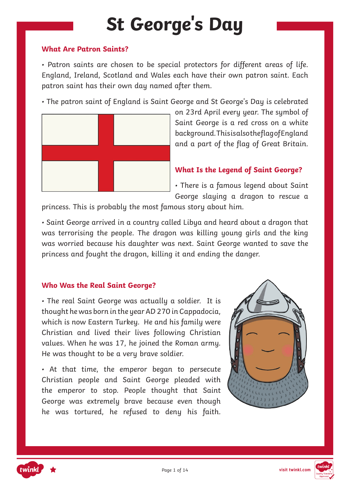# **St George's Day**

#### **What Are Patron Saints?**

• Patron saints are chosen to be special protectors for different areas of life. England, Ireland, Scotland and Wales each have their own patron saint. Each patron saint has their own day named after them.

• The patron saint of England is Saint George and St George's Day is celebrated



on 23rd April every year. The symbol of Saint George is a red cross on a white background. This is also the flag of England and a part of the flag of Great Britain.

### **What Is the Legend of Saint George?**

• There is a famous legend about Saint George slaying a dragon to rescue a

princess. This is probably the most famous story about him.

• Saint George arrived in a country called Libya and heard about a dragon that was terrorising the people. The dragon was killing young girls and the king was worried because his daughter was next. Saint George wanted to save the princess and fought the dragon, killing it and ending the danger.

### **Who Was the Real Saint George?**

• The real Saint George was actually a soldier. It is thought he was born in the year AD 270 in Cappadocia, which is now Eastern Turkey. He and his family were Christian and lived their lives following Christian values. When he was 17, he joined the Roman army. He was thought to be a very brave soldier.

• At that time, the emperor began to persecute Christian people and Saint George pleaded with the emperor to stop. People thought that Saint George was extremely brave because even though he was tortured, he refused to deny his faith.





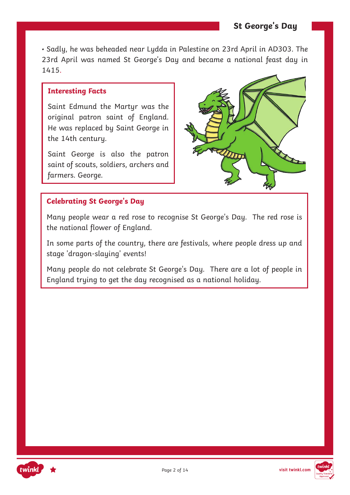• Sadly, he was beheaded near Lydda in Palestine on 23rd April in AD303. The 23rd April was named St George's Day and became a national feast day in 1415.

#### **Interesting Facts**

Saint Edmund the Martyr was the original patron saint of England. He was replaced by Saint George in the 14th century.

Saint George is also the patron saint of scouts, soldiers, archers and farmers. George.



### **Celebrating St George's Day**

Many people wear a red rose to recognise St George's Day. The red rose is the national flower of England.

In some parts of the country, there are festivals, where people dress up and stage 'dragon-slaying' events!

Many people do not celebrate St George's Day. There are a lot of people in England trying to get the day recognised as a national holiday.



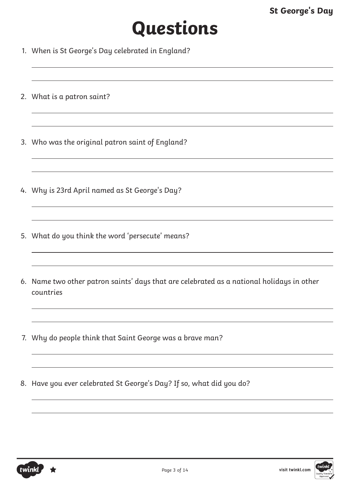# **Questions**

- 1. When is St George's Day celebrated in England?
- 2. What is a patron saint?
- 3. Who was the original patron saint of England?
- 4. Why is 23rd April named as St George's Day?
- 5. What do you think the word 'persecute' means?
- 6. Name two other patron saints' days that are celebrated as a national holidays in other countries
- 7. Why do people think that Saint George was a brave man?
- 8. Have you ever celebrated St George's Day? If so, what did you do?

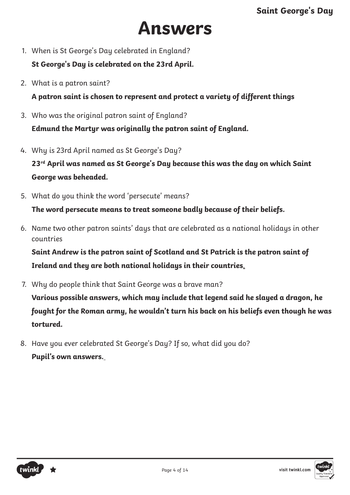# **Answers**

1. When is St George's Day celebrated in England?

**St George's Day is celebrated on the 23rd April.**

2. What is a patron saint?

**A patron saint is chosen to represent and protect a variety of different things**

- 3. Who was the original patron saint of England? **Edmund the Martyr was originally the patron saint of England.**
- 4. Why is 23rd April named as St George's Day?

**23rd April was named as St George's Day because this was the day on which Saint George was beheaded.**

5. What do you think the word 'persecute' means?

**The word persecute means to treat someone badly because of their beliefs.**

6. Name two other patron saints' days that are celebrated as a national holidays in other countries

**Saint Andrew is the patron saint of Scotland and St Patrick is the patron saint of Ireland and they are both national holidays in their countries**.

- 7. Why do people think that Saint George was a brave man? **Various possible answers, which may include that legend said he slayed a dragon, he fought for the Roman army, he wouldn't turn his back on his beliefs even though he was tortured.**
- 8. Have you ever celebrated St George's Day? If so, what did you do? **Pupil's own answers.**



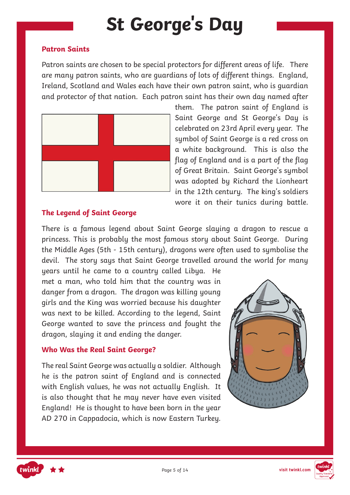# **St George's Day**

### **Patron Saints**

Patron saints are chosen to be special protectors for different areas of life. There are many patron saints, who are guardians of lots of different things. England, Ireland, Scotland and Wales each have their own patron saint, who is guardian and protector of that nation. Each patron saint has their own day named after



them. The patron saint of England is Saint George and St George's Day is celebrated on 23rd April every year. The symbol of Saint George is a red cross on a white background. This is also the flag of England and is a part of the flag of Great Britain. Saint George's symbol was adopted by Richard the Lionheart in the 12th century. The king's soldiers wore it on their tunics during battle.

### **The Legend of Saint George**

There is a famous legend about Saint George slaying a dragon to rescue a princess. This is probably the most famous story about Saint George. During the Middle Ages (5th - 15th century), dragons were often used to symbolise the devil. The story says that Saint George travelled around the world for many

years until he came to a country called Libya. He met a man, who told him that the country was in danger from a dragon. The dragon was killing young girls and the King was worried because his daughter was next to be killed. According to the legend, Saint George wanted to save the princess and fought the dragon, slaying it and ending the danger.

### **Who Was the Real Saint George?**

The real Saint George was actually a soldier. Although he is the patron saint of England and is connected with English values, he was not actually English. It is also thought that he may never have even visited England! He is thought to have been born in the year AD 270 in Cappadocia, which is now Eastern Turkey.





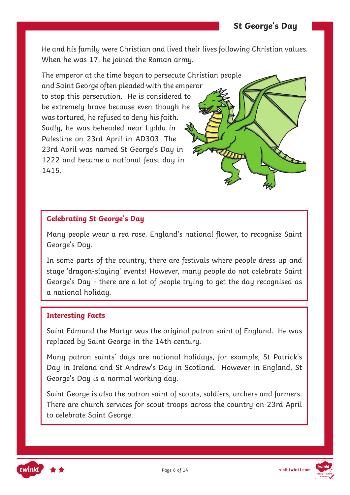He and his family were Christian and lived their lives following Christian values. When he was 17, he joined the Roman army.

The emperor at the time began to persecute Christian people and Saint George often pleaded with the emperor to stop this persecution. He is considered to be extremely brave because even though he was tortured, he refused to deny his faith. Sadly, he was beheaded near Lydda in Palestine on 23rd April in AD303. The 23rd April was named St George's Day in 1222 and became a national feast day in 1415.

## **Celebrating St George's Day**

Many people wear a red rose, England's national flower, to recognise Saint George's Day.

In some parts of the country, there are festivals where people dress up and stage 'dragon-slaying' events! However, many people do not celebrate Saint George's Day - there are a lot of people trying to get the day recognised as a national holiday.

#### **Interesting Facts**

Saint Edmund the Martyr was the original patron saint of England. He was replaced by Saint George in the 14th century.

Many patron saints' days are national holidays, for example, St Patrick's Day in Ireland and St Andrew's Day in Scotland. However in England, St George's Day is a normal working day.

Saint George is also the patron saint of scouts, soldiers, archers and farmers. There are church services for scout troops across the country on 23rd April to celebrate Saint George.



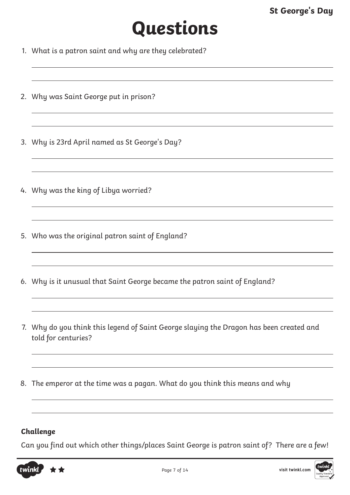# **Questions**

- 1. What is a patron saint and why are they celebrated?
- 2. Why was Saint George put in prison?
- 3. Why is 23rd April named as St George's Day?
- 4. Why was the king of Libya worried?
- 5. Who was the original patron saint of England?
- 6. Why is it unusual that Saint George became the patron saint of England?
- 7. Why do you think this legend of Saint George slaying the Dragon has been created and told for centuries?
- 8. The emperor at the time was a pagan. What do you think this means and why

## **Challenge**

Can you find out which other things/places Saint George is patron saint of? There are a few!



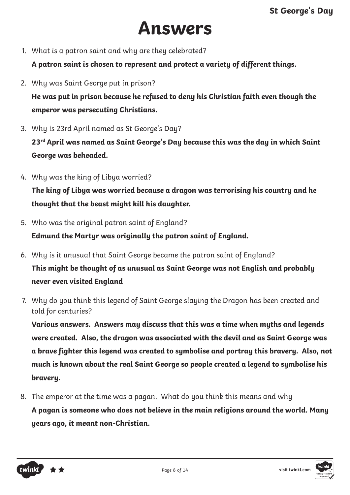# **Answers**

1. What is a patron saint and why are they celebrated?

**A patron saint is chosen to represent and protect a variety of different things.** 

2. Why was Saint George put in prison?

**He was put in prison because he refused to deny his Christian faith even though the emperor was persecuting Christians.**

3. Why is 23rd April named as St George's Day?

**23rd April was named as Saint George's Day because this was the day in which Saint George was beheaded.**

4. Why was the king of Libya worried?

**The king of Libya was worried because a dragon was terrorising his country and he thought that the beast might kill his daughter.** 

5. Who was the original patron saint of England?

**Edmund the Martyr was originally the patron saint of England.**

- 6. Why is it unusual that Saint George became the patron saint of England? **This might be thought of as unusual as Saint George was not English and probably never even visited England**
- 7. Why do you think this legend of Saint George slaying the Dragon has been created and told for centuries?

**Various answers. Answers may discuss that this was a time when myths and legends were created. Also, the dragon was associated with the devil and as Saint George was a brave fighter this legend was created to symbolise and portray this bravery. Also, not much is known about the real Saint George so people created a legend to symbolise his bravery.**

8. The emperor at the time was a pagan. What do you think this means and why **A pagan is someone who does not believe in the main religions around the world. Many years ago, it meant non-Christian.** 



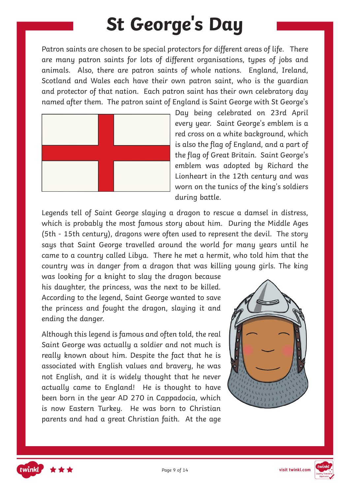# **St George's Day**

Patron saints are chosen to be special protectors for different areas of life. There are many patron saints for lots of different organisations, types of jobs and animals. Also, there are patron saints of whole nations. England, Ireland, Scotland and Wales each have their own patron saint, who is the guardian and protector of that nation. Each patron saint has their own celebratory day named after them. The patron saint of England is Saint George with St George's



Day being celebrated on 23rd April every year. Saint George's emblem is a red cross on a white background, which is also the flag of England, and a part of the flag of Great Britain. Saint George's emblem was adopted by Richard the Lionheart in the 12th century and was worn on the tunics of the king's soldiers during battle.

Legends tell of Saint George slaying a dragon to rescue a damsel in distress, which is probably the most famous story about him. During the Middle Ages (5th - 15th century), dragons were often used to represent the devil. The story says that Saint George travelled around the world for many years until he came to a country called Libya. There he met a hermit, who told him that the country was in danger from a dragon that was killing young girls. The king

was looking for a knight to slay the dragon because his daughter, the princess, was the next to be killed. According to the legend, Saint George wanted to save the princess and fought the dragon, slaying it and ending the danger.

Although this legend is famous and often told, the real Saint George was actually a soldier and not much is really known about him. Despite the fact that he is associated with English values and bravery, he was not English, and it is widely thought that he never actually came to England! He is thought to have been born in the year AD 270 in Cappadocia, which is now Eastern Turkey. He was born to Christian parents and had a great Christian faith. At the age





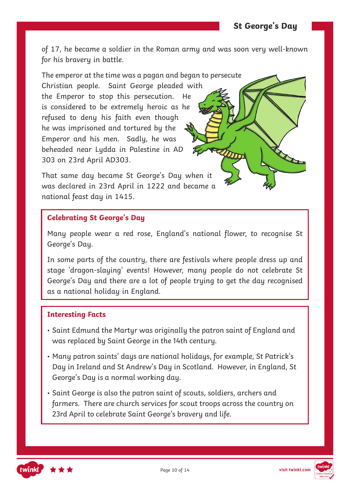of 17, he became a soldier in the Roman army and was soon very well-known for his bravery in battle.

The emperor at the time was a pagan and began to persecute Christian people. Saint George pleaded with the Emperor to stop this persecution. He is considered to be extremely heroic as he refused to deny his faith even though he was imprisoned and tortured by the Emperor and his men. Sadly, he was beheaded near Lydda in Palestine in AD 303 on 23rd April AD303.

That same day became St George's Day when it was declared in 23rd April in 1222 and became a national feast day in 1415.

### **Celebrating St George's Day**

Many people wear a red rose, England's national flower, to recognise St George's Day.

In some parts of the country, there are festivals where people dress up and stage 'dragon-slaying' events! However, many people do not celebrate St George's Day and there are a lot of people trying to get the day recognised as a national holiday in England.

#### **Interesting Facts**

- Saint Edmund the Martyr was originally the patron saint of England and was replaced by Saint George in the 14th century.
- Many patron saints' days are national holidays, for example, St Patrick's Day in Ireland and St Andrew's Day in Scotland. However, in England, St George's Day is a normal working day.
- Saint George is also the patron saint of scouts, soldiers, archers and farmers. There are church services for scout troops across the country on 23rd April to celebrate Saint George's bravery and life.



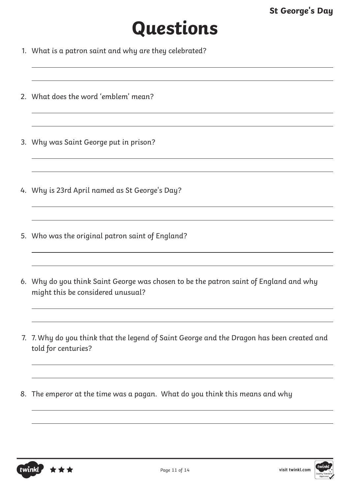# **Questions**

- 1. What is a patron saint and why are they celebrated?
- 2. What does the word 'emblem' mean?
- 3. Why was Saint George put in prison?
- 4. Why is 23rd April named as St George's Day?
- 5. Who was the original patron saint of England?
- 6. Why do you think Saint George was chosen to be the patron saint of England and why might this be considered unusual?
- 7. 7. Why do you think that the legend of Saint George and the Dragon has been created and told for centuries?
- 8. The emperor at the time was a pagan. What do you think this means and why



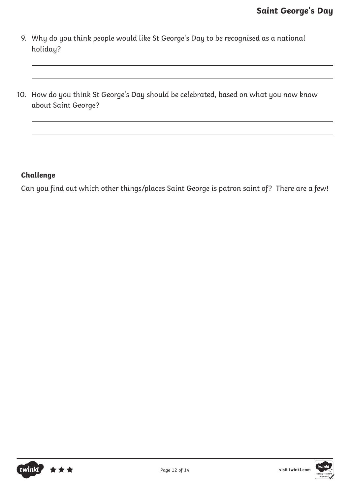- 9. Why do you think people would like St George's Day to be recognised as a national holiday?
- 10. How do you think St George's Day should be celebrated, based on what you now know about Saint George?

## **Challenge**

Can you find out which other things/places Saint George is patron saint of? There are a few!



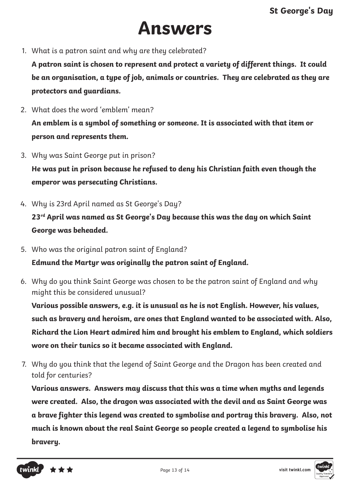# **Answers**

1. What is a patron saint and why are they celebrated?

**A patron saint is chosen to represent and protect a variety of different things. It could be an organisation, a type of job, animals or countries. They are celebrated as they are protectors and guardians.**

- 2. What does the word 'emblem' mean? **An emblem is a symbol of something or someone. It is associated with that item or person and represents them.**
- 3. Why was Saint George put in prison? **He was put in prison because he refused to deny his Christian faith even though the emperor was persecuting Christians.**
- 4. Why is 23rd April named as St George's Day?

**23rd April was named as St George's Day because this was the day on which Saint George was beheaded.**

5. Who was the original patron saint of England?

**Edmund the Martyr was originally the patron saint of England.**

6. Why do you think Saint George was chosen to be the patron saint of England and why might this be considered unusual?

**Various possible answers, e.g. it is unusual as he is not English. However, his values, such as bravery and heroism, are ones that England wanted to be associated with. Also, Richard the Lion Heart admired him and brought his emblem to England, which soldiers wore on their tunics so it became associated with England.** 

7. Why do you think that the legend of Saint George and the Dragon has been created and told for centuries?

**Various answers. Answers may discuss that this was a time when myths and legends were created. Also, the dragon was associated with the devil and as Saint George was a brave fighter this legend was created to symbolise and portray this bravery. Also, not much is known about the real Saint George so people created a legend to symbolise his bravery.**